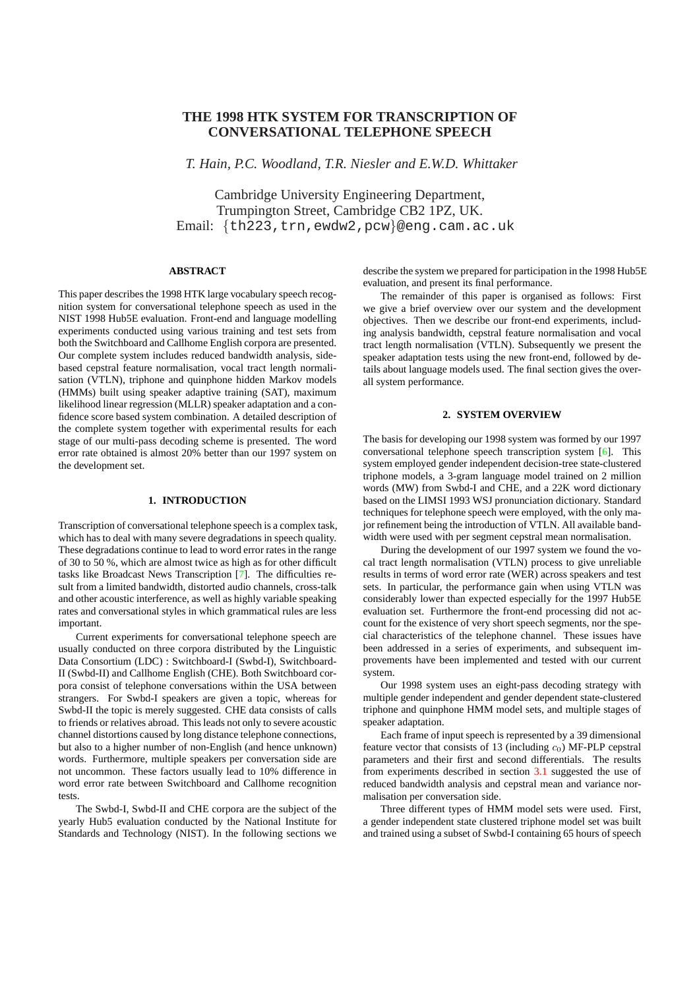# **THE 1998 HTK SYSTEM FOR TRANSCRIPTION OF CONVERSATIONAL TELEPHONE SPEECH**

*T. Hain, P.C. Woodland, T.R. Niesler and E.W.D. Whittaker*

Cambridge University Engineering Department, Trumpington Street, Cambridge CB2 1PZ, UK. Email: {th223, trn, ewdw2, pcw}@eng.cam.ac.uk

## **ABSTRACT**

This paper describes the 1998 HTK large vocabulary speech recognition system for conversational telephone speech as used in the NIST 1998 Hub5E evaluation. Front-end and language modelling experiments conducted using various training and test sets from both the Switchboard and Callhome English corpora are presented. Our complete system includes reduced bandwidth analysis, sidebased cepstral feature normalisation, vocal tract length normalisation (VTLN), triphone and quinphone hidden Markov models (HMMs) built using speaker adaptive training (SAT), maximum likelihood linear regression (MLLR) speaker adaptation and a confidence score based system combination. A detailed description of the complete system together with experimental results for each stage of our multi-pass decoding scheme is presented. The word error rate obtained is almost 20% better than our 1997 system on the development set.

## **1. INTRODUCTION**

Transcription of conversational telephone speech is a complex task, which has to deal with many severe degradations in speech quality. These degradations continue to lead to word error rates in the range of 30 to 50 %, which are almost twice as high as for other difficult tasks like Broadcast News Transcription [7]. The difficulties result from a limited bandwidth, distorted audio channels, cross-talk and other acoustic interference, as well as highly variable speaking rates and conversational styles in which grammatical rules are less important.

Current experiments for conversation[al](#page-3-0) telephone speech are usually conducted on three corpora distributed by the Linguistic Data Consortium (LDC) : Switchboard-I (Swbd-I), Switchboard-II (Swbd-II) and Callhome English (CHE). Both Switchboard corpora consist of telephone conversations within the USA between strangers. For Swbd-I speakers are given a topic, whereas for Swbd-II the topic is merely suggested. CHE data consists of calls to friends or relatives abroad. This leads not only to severe acoustic channel distortions caused by long distance telephone connections, but also to a higher number of non-English (and hence unknown) words. Furthermore, multiple speakers per conversation side are not uncommon. These factors usually lead to 10% difference in word error rate between Switchboard and Callhome recognition tests.

The Swbd-I, Swbd-II and CHE corpora are the subject of the yearly Hub5 evaluation conducted by the National Institute for Standards and Technology (NIST). In the following sections we describe the system we prepared for participation in the 1998 Hub5E evaluation, and present its final performance.

The remainder of this paper is organised as follows: First we give a brief overview over our system and the development objectives. Then we describe our front-end experiments, including analysis bandwidth, cepstral feature normalisation and vocal tract length normalisation (VTLN). Subsequently we present the speaker adaptation tests using the new front-end, followed by details about language models used. The final section gives the overall system performance.

## **2. SYSTEM OVERVIEW**

The basis for developing our 1998 system was formed by our 1997 conversational telephone speech transcription system [6]. This system employed gender independent decision-tree state-clustered triphone models, a 3-gram language model trained on 2 million words (MW) from Swbd-I and CHE, and a 22K word dictionary based on the LIMSI 1993 WSJ pronunciation dictionary. Standard techniques for telephone speech were employed, with th[e o](#page-3-0)nly major refinement being the introduction of VTLN. All available bandwidth were used with per segment cepstral mean normalisation.

During the development of our 1997 system we found the vocal tract length normalisation (VTLN) process to give unreliable results in terms of word error rate (WER) across speakers and test sets. In particular, the performance gain when using VTLN was considerably lower than expected especially for the 1997 Hub5E evaluation set. Furthermore the front-end processing did not account for the existence of very short speech segments, nor the special characteristics of the telephone channel. These issues have been addressed in a series of experiments, and subsequent improvements have been implemented and tested with our current system.

Our 1998 system uses an eight-pass decoding strategy with multiple gender independent and gender dependent state-clustered triphone and quinphone HMM model sets, and multiple stages of speaker adaptation.

Each frame of input speech is represented by a 39 dimensional feature vector that consists of 13 (including  $c_0$ ) MF-PLP cepstral parameters and their first and second differentials. The results from experiments described in section 3.1 suggested the use of reduced bandwidth analysis and cepstral mean and variance normalisation per conversation side.

Three different types of HMM model sets were used. First, a gender independent state clustered triphone model set was built and trained using a subset of Swbd-I con[taini](#page-1-0)ng 65 hours of speech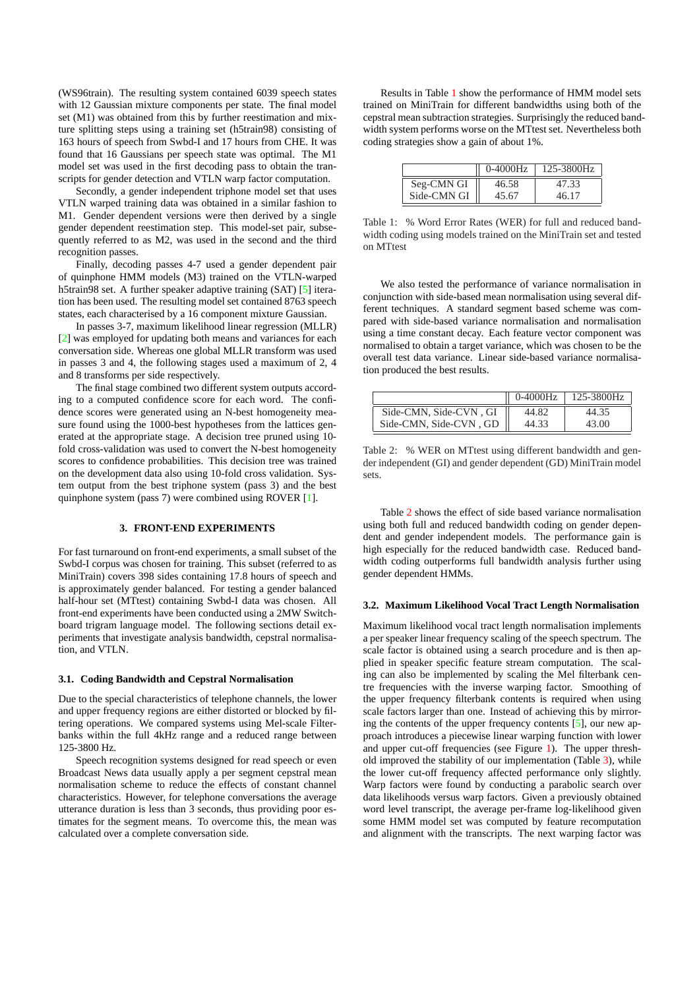<span id="page-1-0"></span>(WS96train). The resulting system contained 6039 speech states with 12 Gaussian mixture components per state. The final model set (M1) was obtained from this by further reestimation and mixture splitting steps using a training set (h5train98) consisting of 163 hours of speech from Swbd-I and 17 hours from CHE. It was found that 16 Gaussians per speech state was optimal. The M1 model set was used in the first decoding pass to obtain the transcripts for gender detection and VTLN warp factor computation.

Secondly, a gender independent triphone model set that uses VTLN warped training data was obtained in a similar fashion to M1. Gender dependent versions were then derived by a single gender dependent reestimation step. This model-set pair, subsequently referred to as M2, was used in the second and the third recognition passes.

Finally, decoding passes 4-7 used a gender dependent pair of quinphone HMM models (M3) trained on the VTLN-warped h5train98 set. A further speaker adaptive training (SAT) [5] iteration has been used. The resulting model set contained 8763 speech states, each characterised by a 16 component mixture Gaussian.

In passes 3-7, maximum likelihood linear regression (MLLR) [2] was employed for updating both means and variances for each conversation side. Whereas one global MLLR transform [wa](#page-3-0)s used in passes 3 and 4, the following stages used a maximum of 2, 4 and 8 transforms per side respectively.

The final stage combined two different system outputs accord[ing](#page-3-0) to a computed confidence score for each word. The confidence scores were generated using an N-best homogeneity measure found using the 1000-best hypotheses from the lattices generated at the appropriate stage. A decision tree pruned using 10 fold cross-validation was used to convert the N-best homogeneity scores to confidence probabilities. This decision tree was trained on the development data also using 10-fold cross validation. System output from the best triphone system (pass 3) and the best quinphone system (pass 7) were combined using ROVER [1].

## **3. FRONT-END EXPERIMENTS**

For fast turnaround on front-end experiments, a small subs[et o](#page-3-0)f the Swbd-I corpus was chosen for training. This subset (referred to as MiniTrain) covers 398 sides containing 17.8 hours of speech and is approximately gender balanced. For testing a gender balanced half-hour set (MTtest) containing Swbd-I data was chosen. All front-end experiments have been conducted using a 2MW Switchboard trigram language model. The following sections detail experiments that investigate analysis bandwidth, cepstral normalisation, and VTLN.

#### **3.1. Coding Bandwidth and Cepstral Normalisation**

Due to the special characteristics of telephone channels, the lower and upper frequency regions are either distorted or blocked by filtering operations. We compared systems using Mel-scale Filterbanks within the full 4kHz range and a reduced range between 125-3800 Hz.

Speech recognition systems designed for read speech or even Broadcast News data usually apply a per segment cepstral mean normalisation scheme to reduce the effects of constant channel characteristics. However, for telephone conversations the average utterance duration is less than 3 seconds, thus providing poor estimates for the segment means. To overcome this, the mean was calculated over a complete conversation side.

Results in Table 1 show the performance of HMM model sets trained on MiniTrain for different bandwidths using both of the cepstral mean subtraction strategies. Surprisingly the reduced bandwidth system performs worse on the MTtest set. Nevertheless both coding strategies show a gain of about 1%.

|             | $0-4000Hz$ | 125-3800Hz |
|-------------|------------|------------|
| Seg-CMN GI  | 46.58      | 47.33      |
| Side-CMN GI | 45.67      | 46.17      |

Table 1: % Word Error Rates (WER) for full and reduced bandwidth coding using models trained on the MiniTrain set and tested on MTtest

We also tested the performance of variance normalisation in conjunction with side-based mean normalisation using several different techniques. A standard segment based scheme was compared with side-based variance normalisation and normalisation using a time constant decay. Each feature vector component was normalised to obtain a target variance, which was chosen to be the overall test data variance. Linear side-based variance normalisation produced the best results.

|                        | $0-4000Hz$ | 125-3800Hz |
|------------------------|------------|------------|
| Side-CMN, Side-CVN, GI | 44.82      | 44.35      |
| Side-CMN, Side-CVN, GD | 44.33      | 43.00      |

Table 2: % WER on MTtest using different bandwidth and gender independent (GI) and gender dependent (GD) MiniTrain model sets.

Table 2 shows the effect of side based variance normalisation using both full and reduced bandwidth coding on gender dependent and gender independent models. The performance gain is high especially for the reduced bandwidth case. Reduced bandwidth coding outperforms full bandwidth analysis further using gender dependent HMMs.

#### **3.2. Maximum Likelihood Vocal Tract Length Normalisation**

Maximum likelihood vocal tract length normalisation implements a per speaker linear frequency scaling of the speech spectrum. The scale factor is obtained using a search procedure and is then applied in speaker specific feature stream computation. The scaling can also be implemented by scaling the Mel filterbank centre frequencies with the inverse warping factor. Smoothing of the upper frequency filterbank contents is required when using scale factors larger than one. Instead of achieving this by mirroring the contents of the upper frequency contents [5], our new approach introduces a piecewise linear warping function with lower and upper cut-off frequencies (see Figure 1). The upper threshold improved the stability of our implementation (Table 3), while the lower cut-off frequency affected performance only slightly. Warp factors were found by conducting a parab[oli](#page-3-0)c search over data likelihoods versus warp factors. Given a previously obtained word level transcript, the average per-fra[me](#page-2-0) log-likelihood given some HMM model set was computed by feature reco[mp](#page-2-0)utation and alignment with the transcripts. The next warping factor was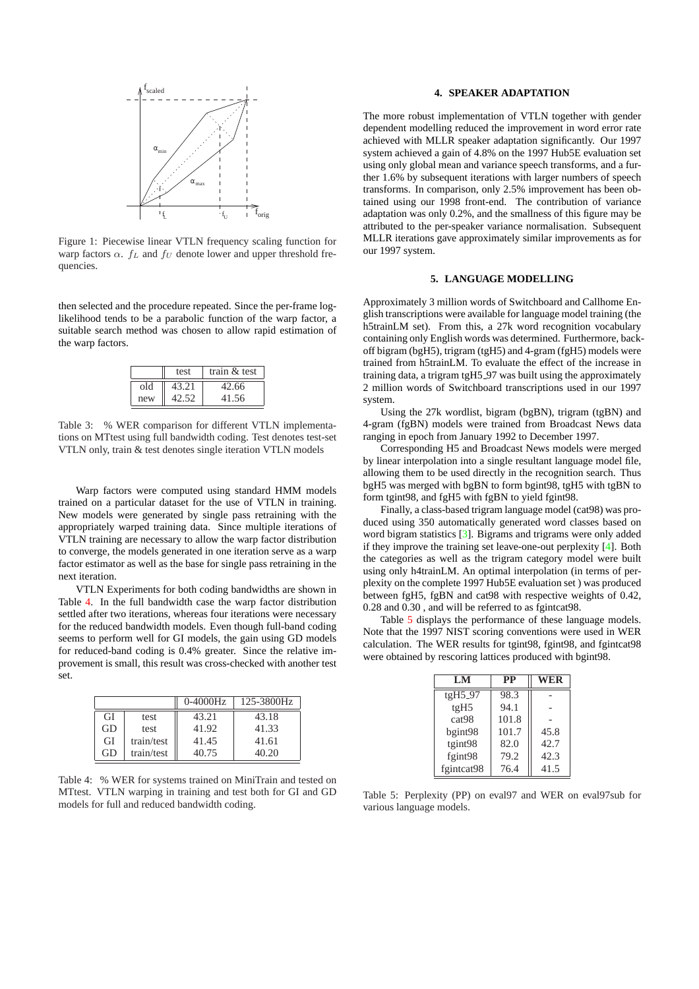<span id="page-2-0"></span>

Figure 1: Piecewise linear VTLN frequency scaling function for warp factors  $\alpha$ .  $f_L$  and  $f_U$  denote lower and upper threshold frequencies.

then selected and the procedure repeated. Since the per-frame loglikelihood tends to be a parabolic function of the warp factor, a suitable search method was chosen to allow rapid estimation of the warp factors.

|     | test  | train $&$ test |
|-----|-------|----------------|
| old | 43.21 | 42.66          |
| new | 42.52 | 41.56          |

Table 3: % WER comparison for different VTLN implementations on MTtest using full bandwidth coding. Test denotes test-set VTLN only, train & test denotes single iteration VTLN models

Warp factors were computed using standard HMM models trained on a particular dataset for the use of VTLN in training. New models were generated by single pass retraining with the appropriately warped training data. Since multiple iterations of VTLN training are necessary to allow the warp factor distribution to converge, the models generated in one iteration serve as a warp factor estimator as well as the base for single pass retraining in the next iteration.

VTLN Experiments for both coding bandwidths are shown in Table 4. In the full bandwidth case the warp factor distribution settled after two iterations, whereas four iterations were necessary for the reduced bandwidth models. Even though full-band coding seems to perform well for GI models, the gain using GD models for reduced-band coding is 0.4% greater. Since the relative improvement is small, this result was cross-checked with another test set.

|    |            | $0-4000$ Hz | 125-3800Hz |
|----|------------|-------------|------------|
| GI | test       | 43.21       | 43.18      |
| GD | test       | 41.92       | 41.33      |
| GI | train/test | 41.45       | 41.61      |
| GD | train/test | 40.75       | 40.20      |

Table 4: % WER for systems trained on MiniTrain and tested on MTtest. VTLN warping in training and test both for GI and GD models for full and reduced bandwidth coding.

#### **4. SPEAKER ADAPTATION**

The more robust implementation of VTLN together with gender dependent modelling reduced the improvement in word error rate achieved with MLLR speaker adaptation significantly. Our 1997 system achieved a gain of 4.8% on the 1997 Hub5E evaluation set using only global mean and variance speech transforms, and a further 1.6% by subsequent iterations with larger numbers of speech transforms. In comparison, only 2.5% improvement has been obtained using our 1998 front-end. The contribution of variance adaptation was only 0.2%, and the smallness of this figure may be attributed to the per-speaker variance normalisation. Subsequent MLLR iterations gave approximately similar improvements as for our 1997 system.

## **5. LANGUAGE MODELLING**

Approximately 3 million words of Switchboard and Callhome English transcriptions were available for language model training (the h5trainLM set). From this, a 27k word recognition vocabulary containing only English words was determined. Furthermore, backoff bigram (bgH5), trigram (tgH5) and 4-gram (fgH5) models were trained from h5trainLM. To evaluate the effect of the increase in training data, a trigram tgH5 97 was built using the approximately 2 million words of Switchboard transcriptions used in our 1997 system.

Using the 27k wordlist, bigram (bgBN), trigram (tgBN) and 4-gram (fgBN) models were trained from Broadcast News data ranging in epoch from January 1992 to December 1997.

Corresponding H5 and Broadcast News models were merged by linear interpolation into a single resultant language model file, allowing them to be used directly in the recognition search. Thus bgH5 was merged with bgBN to form bgint98, tgH5 with tgBN to form tgint98, and fgH5 with fgBN to yield fgint98.

Finally, a class-based trigram language model (cat98) was produced using 350 automatically generated word classes based on word bigram statistics [3]. Bigrams and trigrams were only added if they improve the training set leave-one-out perplexity [4]. Both the categories as well as the trigram category model were built using only h4trainLM. An optimal interpolation (in terms of perplexity on the complete 1997 Hub5E evaluation set ) was produced between fgH5, fgBN [and](#page-3-0) cat98 with respective weight[s o](#page-3-0)f 0.42, 0.28 and 0.30 , and will be referred to as fgintcat98.

Table 5 displays the performance of these language models. Note that the 1997 NIST scoring conventions were used in WER calculation. The WER results for tgint98, fgint98, and fgintcat98 were obtained by rescoring lattices produced with bgint98.

| LM                | <b>PP</b> | WER  |
|-------------------|-----------|------|
| $tgH5_97$         | 98.3      |      |
| tgH5              | 94.1      |      |
| cat <sub>98</sub> | 101.8     |      |
| bgint98           | 101.7     | 45.8 |
| tgint98           | 82.0      | 42.7 |
| fgint98           | 79.2      | 42.3 |
| fgintcat98        | 76.4      | 41.5 |

Table 5: Perplexity (PP) on eval97 and WER on eval97sub for various language models.